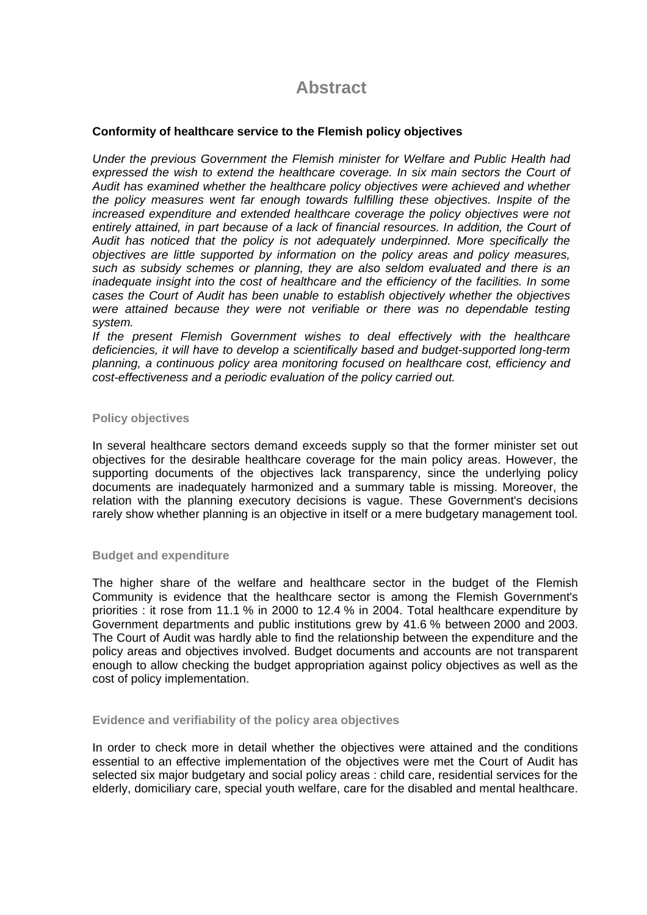# **Abstract**

## **Conformity of healthcare service to the Flemish policy objectives**

*Under the previous Government the Flemish minister for Welfare and Public Health had*  expressed the wish to extend the healthcare coverage. In six main sectors the Court of *Audit has examined whether the healthcare policy objectives were achieved and whether the policy measures went far enough towards fulfilling these objectives. Inspite of the increased expenditure and extended healthcare coverage the policy objectives were not*  entirely attained, in part because of a lack of financial resources. In addition, the Court of *Audit has noticed that the policy is not adequately underpinned. More specifically the objectives are little supported by information on the policy areas and policy measures, such as subsidy schemes or planning, they are also seldom evaluated and there is an inadequate insight into the cost of healthcare and the efficiency of the facilities. In some cases the Court of Audit has been unable to establish objectively whether the objectives*  were attained because they were not verifiable or there was no dependable testing *system.* 

*If the present Flemish Government wishes to deal effectively with the healthcare deficiencies, it will have to develop a scientifically based and budget-supported long-term planning, a continuous policy area monitoring focused on healthcare cost, efficiency and cost-effectiveness and a periodic evaluation of the policy carried out.* 

### **Policy objectives**

In several healthcare sectors demand exceeds supply so that the former minister set out objectives for the desirable healthcare coverage for the main policy areas. However, the supporting documents of the objectives lack transparency, since the underlying policy documents are inadequately harmonized and a summary table is missing. Moreover, the relation with the planning executory decisions is vague. These Government's decisions rarely show whether planning is an objective in itself or a mere budgetary management tool.

### **Budget and expenditure**

The higher share of the welfare and healthcare sector in the budget of the Flemish Community is evidence that the healthcare sector is among the Flemish Government's priorities : it rose from 11.1 % in 2000 to 12.4 % in 2004. Total healthcare expenditure by Government departments and public institutions grew by 41.6 % between 2000 and 2003. The Court of Audit was hardly able to find the relationship between the expenditure and the policy areas and objectives involved. Budget documents and accounts are not transparent enough to allow checking the budget appropriation against policy objectives as well as the cost of policy implementation.

### **Evidence and verifiability of the policy area objectives**

In order to check more in detail whether the objectives were attained and the conditions essential to an effective implementation of the objectives were met the Court of Audit has selected six major budgetary and social policy areas : child care, residential services for the elderly, domiciliary care, special youth welfare, care for the disabled and mental healthcare.